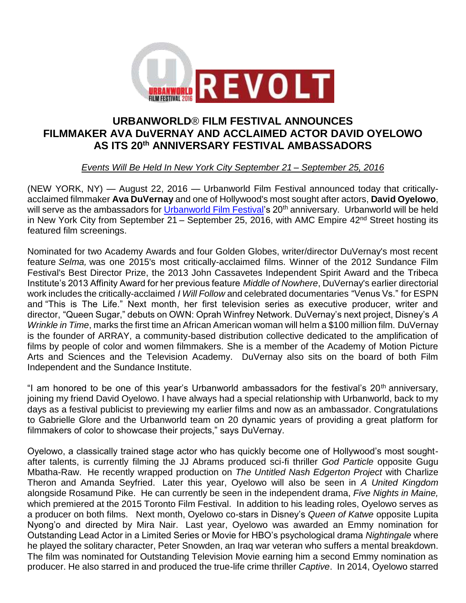

## **URBANWORLD**® **FILM FESTIVAL ANNOUNCES FILMMAKER AVA DuVERNAY AND ACCLAIMED ACTOR DAVID OYELOWO AS ITS 20th ANNIVERSARY FESTIVAL AMBASSADORS**

*Events Will Be Held In New York City September 21 – September 25, 2016*

(NEW YORK, NY) — August 22, 2016 — Urbanworld Film Festival announced today that criticallyacclaimed filmmaker **Ava DuVernay** and one of Hollywood's most sought after actors, **David Oyelowo**, will serve as the ambassadors for [Urbanworld Film Festival'](http://www.urbanworld.org/)s 20<sup>th</sup> anniversary. Urbanworld will be held in New York City from September 21 – September 25, 2016, with AMC Empire 42<sup>nd</sup> Street hosting its featured film screenings.

Nominated for two Academy Awards and four Golden Globes, writer/director DuVernay's most recent feature *Selma,* was one 2015's most critically-acclaimed films. Winner of the 2012 Sundance Film Festival's Best Director Prize, the 2013 John Cassavetes Independent Spirit Award and the Tribeca Institute's 2013 Affinity Award for her previous feature *Middle of Nowhere*, DuVernay's earlier directorial work includes the critically-acclaimed *I Will Follow* and celebrated documentaries "Venus Vs." for ESPN and "This is The Life." Next month, her first television series as executive producer, writer and director, "Queen Sugar," debuts on OWN: Oprah Winfrey Network. DuVernay's next project, Disney's *A Wrinkle in Time*, marks the first time an African American woman will helm a \$100 million film. DuVernay is the founder of ARRAY, a community-based distribution collective dedicated to the amplification of films by people of color and women filmmakers. She is a member of the Academy of Motion Picture Arts and Sciences and the Television Academy. DuVernay also sits on the board of both Film Independent and the Sundance Institute.

"I am honored to be one of this year's Urbanworld ambassadors for the festival's  $20<sup>th</sup>$  anniversary, joining my friend David Oyelowo. I have always had a special relationship with Urbanworld, back to my days as a festival publicist to previewing my earlier films and now as an ambassador. Congratulations to Gabrielle Glore and the Urbanworld team on 20 dynamic years of providing a great platform for filmmakers of color to showcase their projects," says DuVernay.

Oyelowo, a classically trained stage actor who has quickly become one of Hollywood's most soughtafter talents, is currently filming the JJ Abrams produced sci-fi thriller *God Particle* opposite Gugu Mbatha-Raw. He recently wrapped production on *The Untitled Nash Edgerton Project* with Charlize Theron and Amanda Seyfried. Later this year, Oyelowo will also be seen in *A United Kingdom* alongside Rosamund Pike. He can currently be seen in the independent drama, *Five Nights in Maine,*  which premiered at the 2015 Toronto Film Festival. In addition to his leading roles, Oyelowo serves as a producer on both films. Next month, Oyelowo co-stars in Disney's *Queen of Katwe* opposite Lupita Nyong'o and directed by Mira Nair. Last year, Oyelowo was awarded an Emmy nomination for Outstanding Lead Actor in a Limited Series or Movie for HBO's psychological drama *Nightingale* where he played the solitary character, Peter Snowden, an Iraq war veteran who suffers a mental breakdown. The film was nominated for Outstanding Television Movie earning him a second Emmy nomination as producer. He also starred in and produced the true-life crime thriller *Captive*. In 2014, Oyelowo starred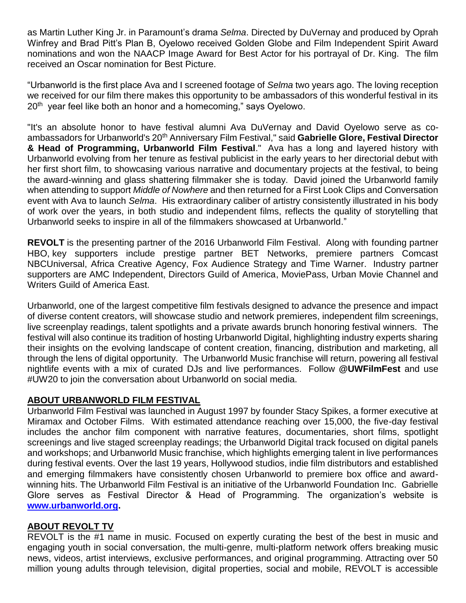as Martin Luther King Jr. in Paramount's drama *Selma*. Directed by DuVernay and produced by Oprah Winfrey and Brad Pitt's Plan B, Oyelowo received Golden Globe and Film Independent Spirit Award nominations and won the NAACP Image Award for Best Actor for his portrayal of Dr. King. The film received an Oscar nomination for Best Picture.

"Urbanworld is the first place Ava and I screened footage of *Selma* two years ago. The loving reception we received for our film there makes this opportunity to be ambassadors of this wonderful festival in its 20<sup>th</sup> year feel like both an honor and a homecoming," says Oyelowo.

"It's an absolute honor to have festival alumni Ava DuVernay and David Oyelowo serve as coambassadors for Urbanworld's 20th Anniversary Film Festival," said **Gabrielle Glore, Festival Director & Head of Programming, Urbanworld Film Festival**." Ava has a long and layered history with Urbanworld evolving from her tenure as festival publicist in the early years to her directorial debut with her first short film, to showcasing various narrative and documentary projects at the festival, to being the award-winning and glass shattering filmmaker she is today. David joined the Urbanworld family when attending to support *Middle of Nowhere* and then returned for a First Look Clips and Conversation event with Ava to launch *Selma*. His extraordinary caliber of artistry consistently illustrated in his body of work over the years, in both studio and independent films, reflects the quality of storytelling that Urbanworld seeks to inspire in all of the filmmakers showcased at Urbanworld."

**REVOLT** is the presenting partner of the 2016 Urbanworld Film Festival. Along with founding partner HBO, key supporters include prestige partner BET Networks, premiere partners Comcast NBCUniversal, Africa Creative Agency, Fox Audience Strategy and Time Warner. Industry partner supporters are AMC Independent, Directors Guild of America, MoviePass, Urban Movie Channel and Writers Guild of America East.

Urbanworld, one of the largest competitive film festivals designed to advance the presence and impact of diverse content creators, will showcase studio and network premieres, independent film screenings, live screenplay readings, talent spotlights and a private awards brunch honoring festival winners. The festival will also continue its tradition of hosting Urbanworld Digital, highlighting industry experts sharing their insights on the evolving landscape of content creation, financing, distribution and marketing, all through the lens of digital opportunity. The Urbanworld Music franchise will return, powering all festival nightlife events with a mix of curated DJs and live performances. Follow **@UWFilmFest** and use #UW20 to join the conversation about Urbanworld on social media.

## **ABOUT URBANWORLD FILM FESTIVAL**

Urbanworld Film Festival was launched in August 1997 by founder Stacy Spikes, a former executive at Miramax and October Films. With estimated attendance reaching over 15,000, the five-day festival includes the anchor film component with narrative features, documentaries, short films, spotlight screenings and live staged screenplay readings; the Urbanworld Digital track focused on digital panels and workshops; and Urbanworld Music franchise, which highlights emerging talent in live performances during festival events. Over the last 19 years, Hollywood studios, indie film distributors and established and emerging filmmakers have consistently chosen Urbanworld to premiere box office and awardwinning hits. The Urbanworld Film Festival is an initiative of the Urbanworld Foundation Inc. Gabrielle Glore serves as Festival Director & Head of Programming. The organization's website is **[www.urbanworld.org.](http://www.urbanworld.org/)**

## **ABOUT REVOLT TV**

REVOLT is the #1 name in music. Focused on expertly curating the best of the best in music and engaging youth in social conversation, the multi-genre, multi-platform network offers breaking music news, videos, artist interviews, exclusive performances, and original programming. Attracting over 50 million young adults through television, digital properties, social and mobile, REVOLT is accessible